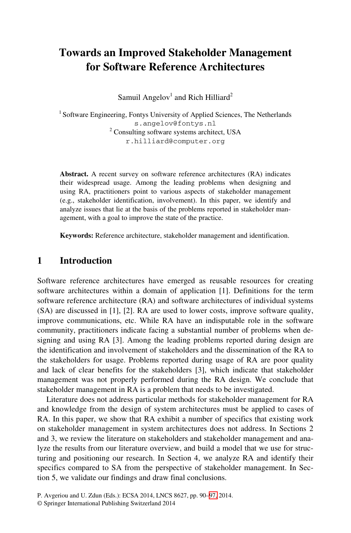# **Towards an Improved Stakeholder Management for Software Reference Architectures**

Samuil Angelov<sup>1</sup> and Rich Hilliard<sup>2</sup>

<sup>1</sup> Software Engineering, Fontys University of Applied Sciences, The Netherlands s.angelov@fontys.nl <sup>2</sup> Consulting software systems architect, USA r.hilliard@computer.org

**Abstract.** A recent survey on software reference architectures (RA) indicates their widespread usage. Among the leading problems when designing and using RA, practitioners point to various aspects of stakeholder management (e.g., stakeholder identification, involvement). In this paper, we identify and analyze issues that lie at the basis of the problems reported in stakeholder management, with a goal to improve the state of the practice.

**Keywords:** Reference architecture, stakeholder management and identification.

#### **1 Introduction**

Software reference architectures have emerged as reusable resources for creating software architectures within a domain of application [1]. Definitions for the term software reference architecture (RA) and software architectures of individual systems (SA) are discussed in [1], [2]. RA are used to lower costs, improve software quality, improve communications, etc. While RA have an indisputable role in the software community, practitioners indicate facing a substantial number of problems when designing and using RA [3]. Among the leading problems reported during design are the identification and involvement of stakeholders and the dissemination of the RA to the stakeholders for usage. Problems reported during usage of RA are poor quality and lack of clear benefits for the stakeholders [3], which indicate that stakeholder management was not properly performed during the RA design. We conclude that stakeholder management in RA is a problem that needs to be investigated.

Literature does not address particular methods for stakeholder management for RA and knowledge from the design of system architectures must be applied to cases of RA. In this paper, we show that [RA](#page-7-0) exhibit a number of specifics that existing work on stakeholder management in system architectures does not address. In Sections 2 and 3, we review the literature on stakeholders and stakeholder management and analyze the results from our literature overview, and build a model that we use for structuring and positioning our research. In Section 4, we analyze RA and identify their specifics compared to SA from the perspective of stakeholder management. In Section 5, we validate our findings and draw final conclusions.

P. Avgeriou and U. Zdun (Eds.): ECSA 2014, LNCS 8627, pp. 90–97, 2014.

<sup>©</sup> Springer International Publishing Switzerland 2014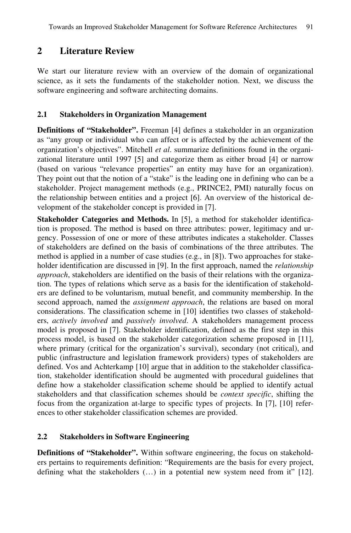# **2 Literature Review**

We start our literature review with an overview of the domain of organizational science, as it sets the fundaments of the stakeholder notion. Next, we discuss the software engineering and software architecting domains.

#### **2.1 Stakeholders in Organization Management**

**Definitions of "Stakeholder".** Freeman [4] defines a stakeholder in an organization as "any group or individual who can affect or is affected by the achievement of the organization's objectives". Mitchell *et al*. summarize definitions found in the organizational literature until 1997 [5] and categorize them as either broad [4] or narrow (based on various "relevance properties" an entity may have for an organization). They point out that the notion of a "stake" is the leading one in defining who can be a stakeholder. Project management methods (e.g., PRINCE2, PMI) naturally focus on the relationship between entities and a project [6]. An overview of the historical development of the stakeholder concept is provided in [7].

**Stakeholder Categories and Methods.** In [5], a method for stakeholder identification is proposed. The method is based on three attributes: power, legitimacy and urgency. Possession of one or more of these attributes indicates a stakeholder. Classes of stakeholders are defined on the basis of combinations of the three attributes. The method is applied in a number of case studies (e.g., in [8]). Two approaches for stakeholder identification are discussed in [9]. In the first approach, named the *relationship approach*, stakeholders are identified on the basis of their relations with the organization. The types of relations which serve as a basis for the identification of stakeholders are defined to be voluntarism, mutual benefit, and community membership. In the second approach, named the *assignment approach*, the relations are based on moral considerations. The classification scheme in [10] identifies two classes of stakeholders, *actively involved* and *passively involved*. A stakeholders management process model is proposed in [7]. Stakeholder identification, defined as the first step in this process model, is based on the stakeholder categorization scheme proposed in [11], where primary (critical for the organization's survival), secondary (not critical), and public (infrastructure and legislation framework providers) types of stakeholders are defined. Vos and Achterkamp [10] argue that in addition to the stakeholder classification, stakeholder identification should be augmented with procedural guidelines that define how a stakeholder classification scheme should be applied to identify actual stakeholders and that classification schemes should be *context specific*, shifting the focus from the organization at-large to specific types of projects. In [7], [10] references to other stakeholder classification schemes are provided.

### **2.2 Stakeholders in Software Engineering**

**Definitions of "Stakeholder".** Within software engineering, the focus on stakeholders pertains to requirements definition: "Requirements are the basis for every project, defining what the stakeholders  $(...)$  in a potential new system need from it" [12].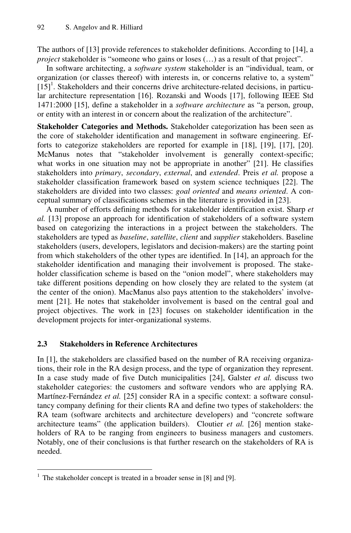The authors of [13] provide references to stakeholder definitions. According to [14], a *project* stakeholder is "someone who gains or loses  $(...)$  as a result of that project".

In software architecting, a *software system* stakeholder is an "individual, team, or organization (or classes thereof) with interests in, or concerns relative to, a system"  $[15]$ <sup>1</sup>. Stakeholders and their concerns drive architecture-related decisions, in particular architecture representation [16]. Rozanski and Woods [17], following IEEE Std 1471:2000 [15], define a stakeholder in a *software architecture* as "a person, group, or entity with an interest in or concern about the realization of the architecture".

**Stakeholder Categories and Methods.** Stakeholder categorization has been seen as the core of stakeholder identification and management in software engineering. Efforts to categorize stakeholders are reported for example in [18], [19], [17], [20]. McManus notes that "stakeholder involvement is generally context-specific; what works in one situation may not be appropriate in another" [21]. He classifies stakeholders into *primary*, *secondary*, *external*, and *extended*. Preis *et al.* propose a stakeholder classification framework based on system science techniques [22]. The stakeholders are divided into two classes: *goal oriented* and *means oriented*. A conceptual summary of classifications schemes in the literature is provided in [23].

A number of efforts defining methods for stakeholder identification exist. Sharp *et al.* [13] propose an approach for identification of stakeholders of a software system based on categorizing the interactions in a project between the stakeholders. The stakeholders are typed as *baseline*, *satellite*, *client* and *supplier* stakeholders. Baseline stakeholders (users, developers, legislators and decision-makers) are the starting point from which stakeholders of the other types are identified. In [14], an approach for the stakeholder identification and managing their involvement is proposed. The stakeholder classification scheme is based on the "onion model", where stakeholders may take different positions depending on how closely they are related to the system (at the center of the onion). MacManus also pays attention to the stakeholders' involvement [21]. He notes that stakeholder involvement is based on the central goal and project objectives. The work in [23] focuses on stakeholder identification in the development projects for inter-organizational systems.

#### **2.3 Stakeholders in Reference Architectures**

In [1], the stakeholders are classified based on the number of RA receiving organizations, their role in the RA design process, and the type of organization they represent. In a case study made of five Dutch municipalities [24], Galster *et al.* discuss two stakeholder categories: the customers and software vendors who are applying RA. Martínez-Fernández *et al.* [25] consider RA in a specific context: a software consultancy company defining for their clients RA and define two types of stakeholders: the RA team (software architects and architecture developers) and "concrete software architecture teams" (the application builders). Cloutier *et al.* [26] mention stakeholders of RA to be ranging from engineers to business managers and customers. Notably, one of their conclusions is that further research on the stakeholders of RA is needed.

j

<sup>&</sup>lt;sup>1</sup> The stakeholder concept is treated in a broader sense in  $[8]$  and  $[9]$ .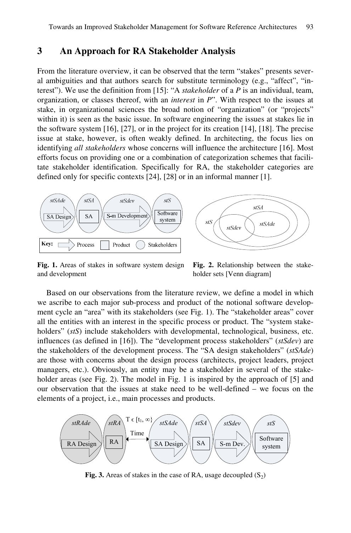## **3 An Approach for RA Stakeholder Analysis**

From the literature overview, it can be observed that the term "stakes" presents several ambiguities and that authors search for substitute terminology (e.g., "affect", "interest"). We use the definition from [15]: "A *stakeholder* of a *P* is an individual, team, organization, or classes thereof, with an *interest* in *P*". With respect to the issues at stake, in organizational sciences the broad notion of "organization" (or "projects" within it) is seen as the basic issue. In software engineering the issues at stakes lie in the software system [16], [27], or in the project for its creation [14], [18]. The precise issue at stake, however, is often weakly defined. In architecting, the focus lies on identifying *all stakeholders* whose concerns will influence the architecture [16]. Most efforts focus on providing one or a combination of categorization schemes that facilitate stakeholder identification. Specifically for RA, the stakeholder categories are defined only for specific contexts [24], [28] or in an informal manner [1].



**Fig. 1.** Areas of stakes in software system design and development

**Fig. 2.** Relationship between the stakeholder sets [Venn diagram]

Based on our observations from the literature review, we define a model in which we ascribe to each major sub-process and product of the notional software development cycle an "area" with its stakeholders (see Fig. 1). The "stakeholder areas" cover all the entities with an interest in the specific process or product. The "system stakeholders" (*stS*) include stakeholders with developmental, technological, business, etc. influences (as defined in [16]). The "development process stakeholders" (*stSdev*) are the stakeholders of the development process. The "SA design stakeholders" (*stSAde*) are those with concerns about the design process (architects, project leaders, project managers, etc.). Obviously, an entity may be a stakeholder in several of the stakeholder areas (see Fig. 2). The model in Fig. 1 is inspired by the approach of [5] and our observation that the issues at stake need to be well-defined – we focus on the elements of a project, i.e., main processes and products.



**Fig. 3.** Areas of stakes in the case of RA, usage decoupled  $(S_2)$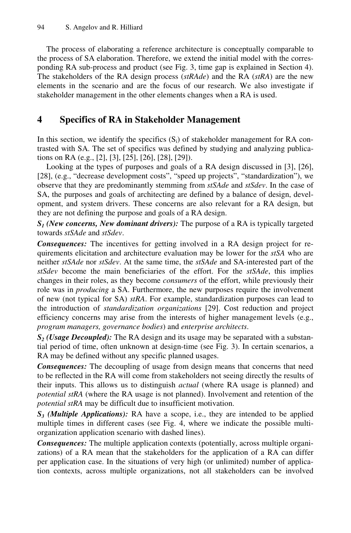The process of elaborating a reference architecture is conceptually comparable to the process of SA elaboration. Therefore, we extend the initial model with the corresponding RA sub-process and product (see Fig. 3, time gap is explained in Section 4). The stakeholders of the RA design process (*stRAde*) and the RA (*stRA*) are the new elements in the scenario and are the focus of our research. We also investigate if stakeholder management in the other elements changes when a RA is used.

# **4 Specifics of RA in Stakeholder Management**

In this section, we identify the specifics  $(S_i)$  of stakeholder management for RA contrasted with SA. The set of specifics was defined by studying and analyzing publications on RA (e.g., [2], [3], [25], [26], [28], [29]).

Looking at the types of purposes and goals of a RA design discussed in [3], [26], [28], (e.g., "decrease development costs", "speed up projects", "standardization"), we observe that they are predominantly stemming from *stSAde* and *stSdev*. In the case of SA, the purposes and goals of architecting are defined by a balance of design, development, and system drivers. These concerns are also relevant for a RA design, but they are not defining the purpose and goals of a RA design.

*S1 (New concerns, New dominant drivers):* The purpose of a RA is typically targeted towards *stSAde* and *stSdev*.

*Consequences:* The incentives for getting involved in a RA design project for requirements elicitation and architecture evaluation may be lower for the *stSA* who are neither *stSAde* nor *stSdev*. At the same time, the *stSAde* and SA-interested part of the *stSdev* become the main beneficiaries of the effort. For the *stSAde*, this implies changes in their roles, as they become *consumers* of the effort, while previously their role was in *producing* a SA. Furthermore, the new purposes require the involvement of new (not typical for SA) *stRA*. For example, standardization purposes can lead to the introduction of *standardization organizations* [29]. Cost reduction and project efficiency concerns may arise from the interests of higher management levels (e.g., *program managers, governance bodies*) and *enterprise architects*.

*S2 (Usage Decoupled):* The RA design and its usage may be separated with a substantial period of time, often unknown at design-time (see Fig. 3). In certain scenarios, a RA may be defined without any specific planned usages.

*Consequences:* The decoupling of usage from design means that concerns that need to be reflected in the RA will come from stakeholders not seeing directly the results of their inputs. This allows us to distinguish *actual* (where RA usage is planned) and *potential stRA* (where the RA usage is not planned). Involvement and retention of the *potential stRA* may be difficult due to insufficient motivation.

*S3 (Multiple Applications):* RA have a scope, i.e., they are intended to be applied multiple times in different cases (see Fig. 4, where we indicate the possible multiorganization application scenario with dashed lines).

*Consequences:* The multiple application contexts (potentially, across multiple organizations) of a RA mean that the stakeholders for the application of a RA can differ per application case. In the situations of very high (or unlimited) number of application contexts, across multiple organizations, not all stakeholders can be involved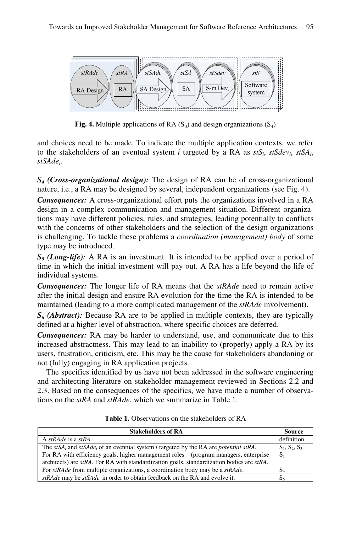

**Fig. 4.** Multiple applications of RA  $(S_3)$  and design organizations  $(S_4)$ 

and choices need to be made. To indicate the multiple application contexts, we refer to the stakeholders of an eventual system *i* targeted by a RA as *stSi*, *stSdevi*, *stSAi*, *stSAdei*.

*S4 (Cross-organizational design):* The design of RA can be of cross-organizational nature, i.e., a RA may be designed by several, independent organizations (see Fig. 4).

*Consequences:* A cross-organizational effort puts the organizations involved in a RA design in a complex communication and management situation. Different organizations may have different policies, rules, and strategies, leading potentially to conflicts with the concerns of other stakeholders and the selection of the design organizations is challenging. To tackle these problems a *coordination (management) body* of some type may be introduced.

*S5 (Long-life):* A RA is an investment. It is intended to be applied over a period of time in which the initial investment will pay out. A RA has a life beyond the life of individual systems.

*Consequences:* The longer life of RA means that the *stRAde* need to remain active after the initial design and ensure RA evolution for the time the RA is intended to be maintained (leading to a more complicated management of the *stRAde* involvement).

*S6 (Abstract):* Because RA are to be applied in multiple contexts, they are typically defined at a higher level of abstraction, where specific choices are deferred.

*Consequences:* RA may be harder to understand, use, and communicate due to this increased abstractness. This may lead to an inability to (properly) apply a RA by its users, frustration, criticism, etc. This may be the cause for stakeholders abandoning or not (fully) engaging in RA application projects.

The specifics identified by us have not been addressed in the software engineering and architecting literature on stakeholder management reviewed in Sections 2.2 and 2.3. Based on the consequences of the specifics, we have made a number of observations on the *stRA* and *stRAde*, which we summarize in Table 1.

| <b>Stakeholders of RA</b>                                                                                                      | <b>Source</b>   |
|--------------------------------------------------------------------------------------------------------------------------------|-----------------|
| A stRAde is a stRA.                                                                                                            | definition      |
| The stSA <sub>i</sub> and stSA <sub>de<sub>i</sub> of an eventual system i targeted by the RA are <i>potential</i> stRA.</sub> | $S_1, S_2, S_3$ |
| For RA with efficiency goals, higher management roles (program managers, enterprise                                            | $S_1$           |
| architects) are $stRA$ . For RA with standardization goals, standardization bodies are $stRA$ .                                |                 |
| For stRAde from multiple organizations, a coordination body may be a stRAde.                                                   | S4              |
| $stRAde$ may be $stSAde_i$ in order to obtain feedback on the RA and evolve it.                                                | S,              |

**Table 1.** Observations on the stakeholders of RA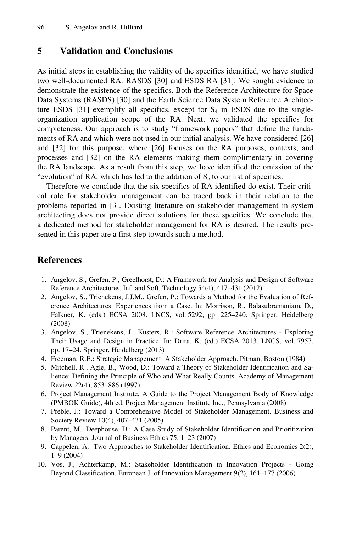### **5 Validation and Conclusions**

As initial steps in establishing the validity of the specifics identified, we have studied two well-documented RA: RASDS [30] and ESDS RA [31]. We sought evidence to demonstrate the existence of the specifics. Both the Reference Architecture for Space Data Systems (RASDS) [30] and the Earth Science Data System Reference Architecture ESDS [31] exemplify all specifics, except for  $S_4$  in ESDS due to the singleorganization application scope of the RA. Next, we validated the specifics for completeness. Our approach is to study "framework papers" that define the fundaments of RA and which were not used in our initial analysis. We have considered [26] and [32] for this purpose, where [26] focuses on the RA purposes, contexts, and processes and [32] on the RA elements making them complimentary in covering the RA landscape. As a result from this step, we have identified the omission of the "evolution" of RA, which has led to the addition of  $S_5$  to our list of specifics.

Therefore we conclude that the six specifics of RA identified do exist. Their critical role for stakeholder management can be traced back in their relation to the problems reported in [3]. Existing literature on stakeholder management in system architecting does not provide direct solutions for these specifics. We conclude that a dedicated method for stakeholder management for RA is desired. The results presented in this paper are a first step towards such a method.

#### **References**

- 1. Angelov, S., Grefen, P., Greefhorst, D.: A Framework for Analysis and Design of Software Reference Architectures. Inf. and Soft. Technology 54(4), 417–431 (2012)
- 2. Angelov, S., Trienekens, J.J.M., Grefen, P.: Towards a Method for the Evaluation of Reference Architectures: Experiences from a Case. In: Morrison, R., Balasubramaniam, D., Falkner, K. (eds.) ECSA 2008. LNCS, vol. 5292, pp. 225–240. Springer, Heidelberg (2008)
- 3. Angelov, S., Trienekens, J., Kusters, R.: Software Reference Architectures Exploring Their Usage and Design in Practice. In: Drira, K. (ed.) ECSA 2013. LNCS, vol. 7957, pp. 17–24. Springer, Heidelberg (2013)
- 4. Freeman, R.E.: Strategic Management: A Stakeholder Approach. Pitman, Boston (1984)
- 5. Mitchell, R., Agle, B., Wood, D.: Toward a Theory of Stakeholder Identification and Salience: Defining the Principle of Who and What Really Counts. Academy of Management Review 22(4), 853–886 (1997)
- 6. Project Management Institute, A Guide to the Project Management Body of Knowledge (PMBOK Guide), 4th ed. Project Management Institute Inc., Pennsylvania (2008)
- 7. Preble, J.: Toward a Comprehensive Model of Stakeholder Management. Business and Society Review 10(4), 407–431 (2005)
- 8. Parent, M., Deephouse, D.: A Case Study of Stakeholder Identification and Prioritization by Managers. Journal of Business Ethics 75, 1–23 (2007)
- 9. Cappelen, A.: Two Approaches to Stakeholder Identification. Ethics and Economics 2(2), 1–9 (2004)
- 10. Vos, J., Achterkamp, M.: Stakeholder Identification in Innovation Projects Going Beyond Classification. European J. of Innovation Management 9(2), 161–177 (2006)